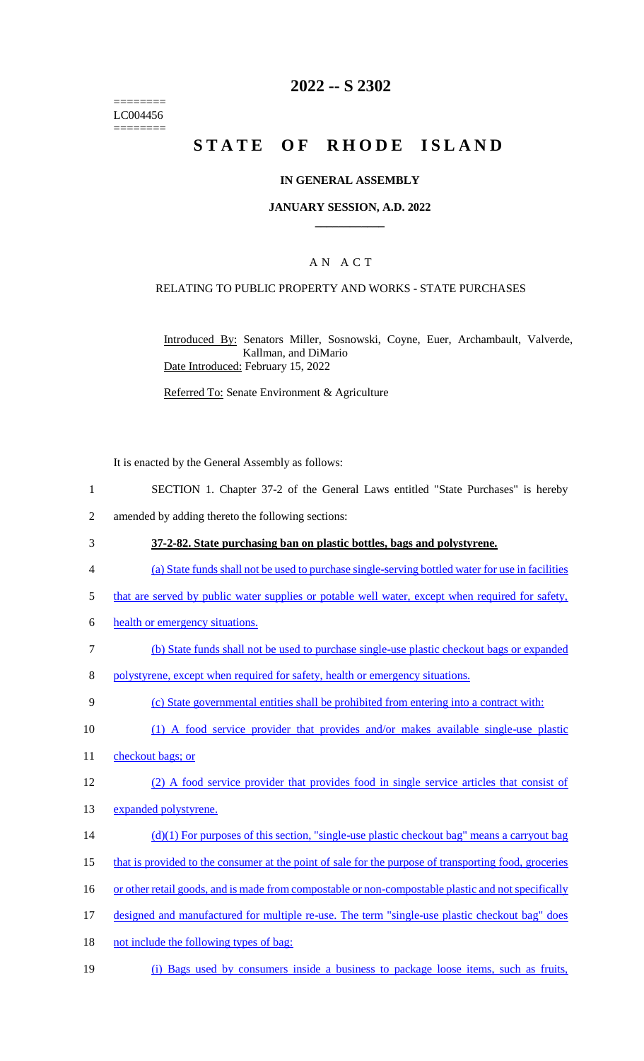======== LC004456 ========

# **2022 -- S 2302**

# **STATE OF RHODE ISLAND**

#### **IN GENERAL ASSEMBLY**

#### **JANUARY SESSION, A.D. 2022 \_\_\_\_\_\_\_\_\_\_\_\_**

## A N A C T

#### RELATING TO PUBLIC PROPERTY AND WORKS - STATE PURCHASES

Introduced By: Senators Miller, Sosnowski, Coyne, Euer, Archambault, Valverde, Kallman, and DiMario Date Introduced: February 15, 2022

Referred To: Senate Environment & Agriculture

It is enacted by the General Assembly as follows:

- 1 SECTION 1. Chapter 37-2 of the General Laws entitled "State Purchases" is hereby
- 2 amended by adding thereto the following sections:
- 3 **37-2-82. State purchasing ban on plastic bottles, bags and polystyrene.**
- 4 (a) State funds shall not be used to purchase single-serving bottled water for use in facilities
- 5 that are served by public water supplies or potable well water, except when required for safety,
- 6 health or emergency situations.
- 7 (b) State funds shall not be used to purchase single-use plastic checkout bags or expanded
- 8 polystyrene, except when required for safety, health or emergency situations.
- 9 (c) State governmental entities shall be prohibited from entering into a contract with:
- 10 (1) A food service provider that provides and/or makes available single-use plastic
- 11 checkout bags; or
- 12 (2) A food service provider that provides food in single service articles that consist of
- 13 expanded polystyrene.
- $(d)(1)$  For purposes of this section, "single-use plastic checkout bag" means a carryout bag
- 15 that is provided to the consumer at the point of sale for the purpose of transporting food, groceries
- 16 or other retail goods, and is made from compostable or non-compostable plastic and not specifically
- 17 designed and manufactured for multiple re-use. The term "single-use plastic checkout bag" does
- 18 not include the following types of bag:
- 19 (i) Bags used by consumers inside a business to package loose items, such as fruits,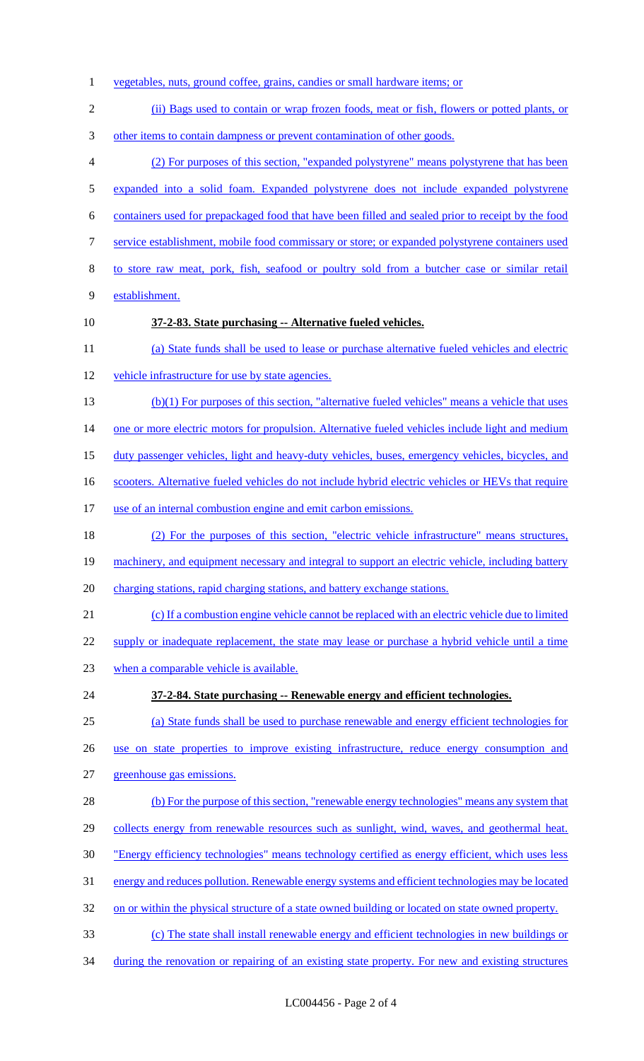- vegetables, nuts, ground coffee, grains, candies or small hardware items; or (ii) Bags used to contain or wrap frozen foods, meat or fish, flowers or potted plants, or other items to contain dampness or prevent contamination of other goods. (2) For purposes of this section, "expanded polystyrene" means polystyrene that has been expanded into a solid foam. Expanded polystyrene does not include expanded polystyrene containers used for prepackaged food that have been filled and sealed prior to receipt by the food service establishment, mobile food commissary or store; or expanded polystyrene containers used to store raw meat, pork, fish, seafood or poultry sold from a butcher case or similar retail establishment. **37-2-83. State purchasing -- Alternative fueled vehicles.** (a) State funds shall be used to lease or purchase alternative fueled vehicles and electric vehicle infrastructure for use by state agencies. (b)(1) For purposes of this section, "alternative fueled vehicles" means a vehicle that uses 14 one or more electric motors for propulsion. Alternative fueled vehicles include light and medium duty passenger vehicles, light and heavy-duty vehicles, buses, emergency vehicles, bicycles, and 16 scooters. Alternative fueled vehicles do not include hybrid electric vehicles or HEVs that require 17 use of an internal combustion engine and emit carbon emissions. (2) For the purposes of this section, "electric vehicle infrastructure" means structures, 19 machinery, and equipment necessary and integral to support an electric vehicle, including battery 20 charging stations, rapid charging stations, and battery exchange stations. (c) If a combustion engine vehicle cannot be replaced with an electric vehicle due to limited 22 supply or inadequate replacement, the state may lease or purchase a hybrid vehicle until a time 23 when a comparable vehicle is available. **37-2-84. State purchasing -- Renewable energy and efficient technologies.** (a) State funds shall be used to purchase renewable and energy efficient technologies for use on state properties to improve existing infrastructure, reduce energy consumption and greenhouse gas emissions. (b) For the purpose of this section, "renewable energy technologies" means any system that 29 collects energy from renewable resources such as sunlight, wind, waves, and geothermal heat. "Energy efficiency technologies" means technology certified as energy efficient, which uses less energy and reduces pollution. Renewable energy systems and efficient technologies may be located 32 on or within the physical structure of a state owned building or located on state owned property. (c) The state shall install renewable energy and efficient technologies in new buildings or
- 34 during the renovation or repairing of an existing state property. For new and existing structures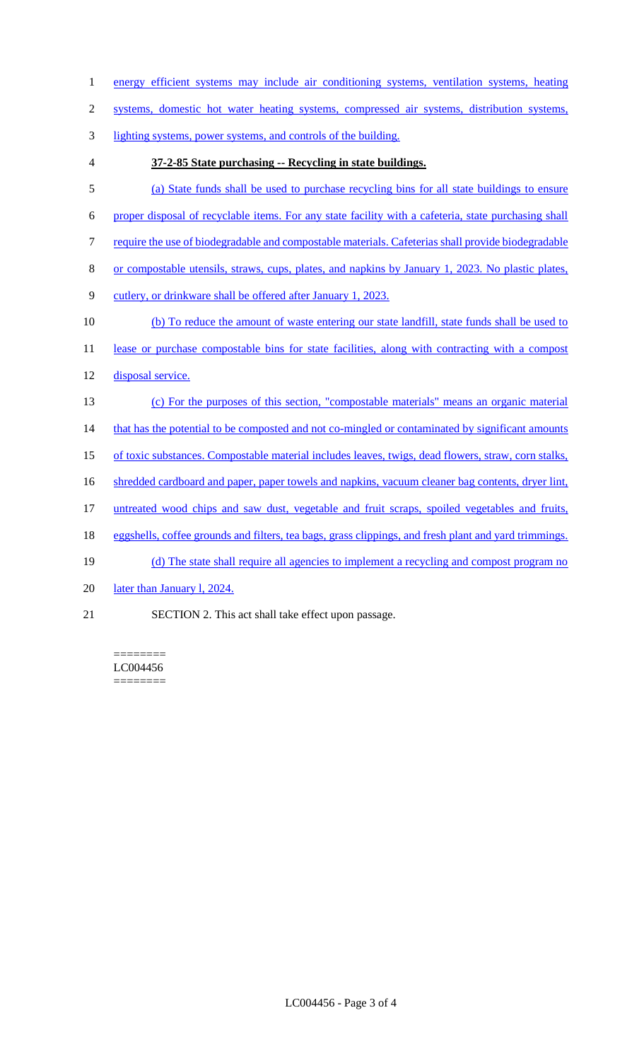- 1 energy efficient systems may include air conditioning systems, ventilation systems, heating
- 2 systems, domestic hot water heating systems, compressed air systems, distribution systems,
- 3 lighting systems, power systems, and controls of the building.
- 

## 4 **37-2-85 State purchasing -- Recycling in state buildings.**

- 5 (a) State funds shall be used to purchase recycling bins for all state buildings to ensure
- 6 proper disposal of recyclable items. For any state facility with a cafeteria, state purchasing shall
- 7 require the use of biodegradable and compostable materials. Cafeterias shall provide biodegradable
- 8 or compostable utensils, straws, cups, plates, and napkins by January 1, 2023. No plastic plates,
- 9 cutlery, or drinkware shall be offered after January 1, 2023.
- 10 (b) To reduce the amount of waste entering our state landfill, state funds shall be used to
- 11 lease or purchase compostable bins for state facilities, along with contracting with a compost
- 12 disposal service.
- 13 (c) For the purposes of this section, "compostable materials" means an organic material
- 14 that has the potential to be composted and not co-mingled or contaminated by significant amounts
- 15 of toxic substances. Compostable material includes leaves, twigs, dead flowers, straw, corn stalks,
- 16 shredded cardboard and paper, paper towels and napkins, vacuum cleaner bag contents, dryer lint,
- 17 untreated wood chips and saw dust, vegetable and fruit scraps, spoiled vegetables and fruits,
- 18 eggshells, coffee grounds and filters, tea bags, grass clippings, and fresh plant and yard trimmings.
- 19 (d) The state shall require all agencies to implement a recycling and compost program no
- 20 later than January 1, 2024.
- 21 SECTION 2. This act shall take effect upon passage.

======== LC004456 ========